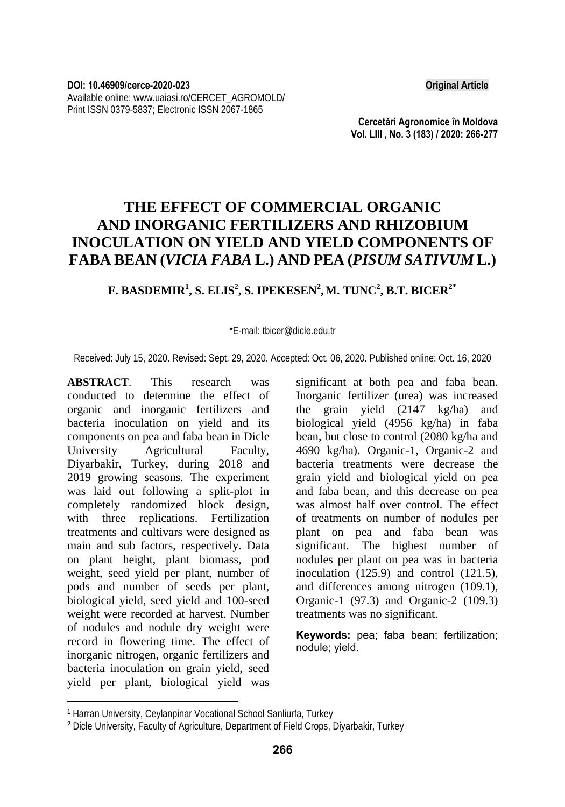**Cercetări Agronomice în Moldova Vol. LIII , No. 3 (183) / 2020: 266-277** 

# **THE EFFECT OF COMMERCIAL ORGANIC AND INORGANIC FERTILIZERS AND RHIZOBIUM INOCULATION ON YIELD AND YIELD COMPONENTS OF FABA BEAN (***VICIA FABA* **L.) AND PEA (***PISUM SATIVUM* **L.)**

### $\mathbf{F}.$  BASDEMIR $^1$ , S. ELIS $^2$ , S. IPEKESEN $^2$ ,M. TUNC $^2$ , B.T. BICER $^{2*}$

\*E-mail: tbicer@dicle.edu.tr

Received: July 15, 2020. Revised: Sept. 29, 2020. Accepted: Oct. 06, 2020. Published online: Oct. 16, 2020

**ABSTRACT**. This research was conducted to determine the effect of organic and inorganic fertilizers and bacteria inoculation on yield and its components on pea and faba bean in Dicle University Agricultural Faculty, Diyarbakir, Turkey, during 2018 and 2019 growing seasons. The experiment was laid out following a split-plot in completely randomized block design, with three replications. Fertilization treatments and cultivars were designed as main and sub factors, respectively. Data on plant height, plant biomass, pod weight, seed yield per plant, number of pods and number of seeds per plant, biological yield, seed yield and 100-seed weight were recorded at harvest. Number of nodules and nodule dry weight were record in flowering time. The effect of inorganic nitrogen, organic fertilizers and bacteria inoculation on grain yield, seed yield per plant, biological yield was

significant at both pea and faba bean. Inorganic fertilizer (urea) was increased the grain yield (2147 kg/ha) and biological yield (4956 kg/ha) in faba bean, but close to control (2080 kg/ha and 4690 kg/ha). Organic-1, Organic-2 and bacteria treatments were decrease the grain yield and biological yield on pea and faba bean, and this decrease on pea was almost half over control. The effect of treatments on number of nodules per plant on pea and faba bean was significant. The highest number of nodules per plant on pea was in bacteria inoculation (125.9) and control (121.5), and differences among nitrogen (109.1), Organic-1 (97.3) and Organic-2 (109.3) treatments was no significant.

**Keywords:** pea; faba bean; fertilization; nodule; yield.

l 1 Harran University, Ceylanpinar Vocational School Sanliurfa, Turkey

<sup>2</sup> Dicle University, Faculty of Agriculture, Department of Field Crops, Diyarbakir, Turkey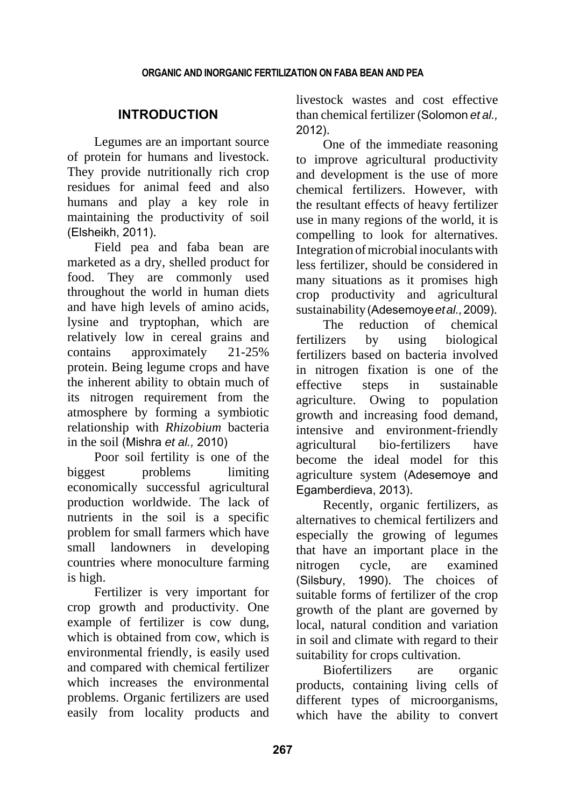## **INTRODUCTION**

Legumes are an important source of protein for humans and livestock. They provide nutritionally rich crop residues for animal feed and also humans and play a key role in maintaining the productivity of soil (Elsheikh, 2011).

Field pea and faba bean are marketed as a dry, shelled product for food. They are commonly used throughout the world in human diets and have high levels of amino acids, lysine and tryptophan, which are relatively low in cereal grains and contains approximately 21-25% protein. Being legume crops and have the inherent ability to obtain much of its nitrogen requirement from the atmosphere by forming a symbiotic relationship with *Rhizobium* bacteria in the soil (Mishra *et al.,* 2010)

Poor soil fertility is one of the biggest problems limiting economically successful agricultural production worldwide. The lack of nutrients in the soil is a specific problem for small farmers which have small landowners in developing countries where monoculture farming is high.

Fertilizer is very important for crop growth and productivity. One example of fertilizer is cow dung, which is obtained from cow, which is environmental friendly, is easily used and compared with chemical fertilizer which increases the environmental problems. Organic fertilizers are used easily from locality products and

livestock wastes and cost effective than chemical fertilizer (Solomon *et al.,* 2012).

One of the immediate reasoning to improve agricultural productivity and development is the use of more chemical fertilizers. However, with the resultant effects of heavy fertilizer use in many regions of the world, it is compelling to look for alternatives. Integration ofmicrobialinoculantswith less fertilizer, should be considered in many situations as it promises high crop productivity and agricultural sustainability(Adesemoye*etal.,*2009).

The reduction of chemical fertilizers by using biological fertilizers based on bacteria involved in nitrogen fixation is one of the effective steps in sustainable agriculture. Owing to population growth and increasing food demand, intensive and environment-friendly agricultural bio-fertilizers have become the ideal model for this agriculture system (Adesemoye and Egamberdieva, 2013).

Recently, organic fertilizers, as alternatives to chemical fertilizers and especially the growing of legumes that have an important place in the nitrogen cycle, are examined (Silsbury, 1990). The choices of suitable forms of fertilizer of the crop growth of the plant are governed by local, natural condition and variation in soil and climate with regard to their suitability for crops cultivation.

Biofertilizers are organic products, containing living cells of different types of microorganisms, which have the ability to convert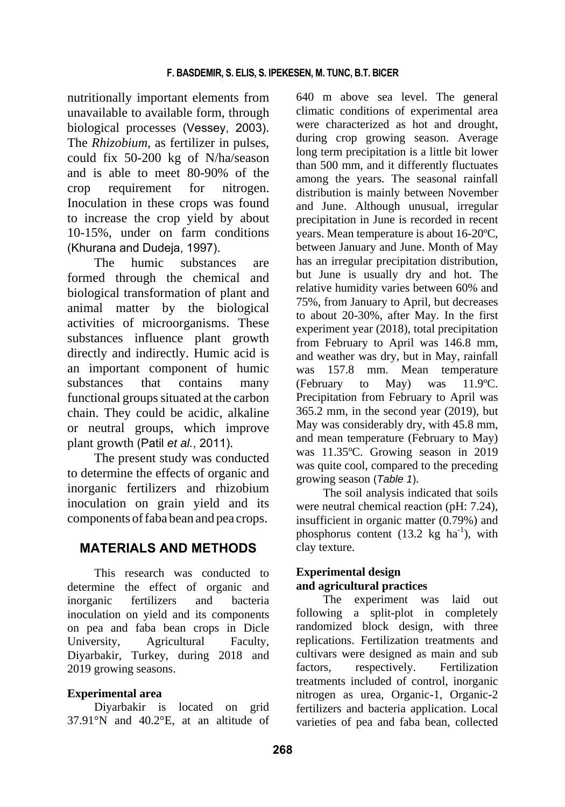nutritionally important elements from unavailable to available form, through biological processes (Vessey, 2003). The *Rhizobium*, as fertilizer in pulses, could fix 50-200 kg of N/ha/season and is able to meet 80-90% of the crop requirement for nitrogen. Inoculation in these crops was found to increase the crop yield by about 10-15%, under on farm conditions (Khurana and Dudeja, 1997).

The humic substances are formed through the chemical and biological transformation of plant and animal matter by the biological activities of microorganisms. These substances influence plant growth directly and indirectly. Humic acid is an important component of humic substances that contains many functional groups situated at the carbon chain. They could be acidic, alkaline or neutral groups, which improve plant growth (Patil *et al.*, 2011).

The present study was conducted to determine the effects of organic and inorganic fertilizers and rhizobium inoculation on grain yield and its components offaba bean and pea crops.

# **MATERIALS AND METHODS**

This research was conducted to determine the effect of organic and inorganic fertilizers and bacteria inoculation on yield and its components on pea and faba bean crops in Dicle University, Agricultural Faculty, Diyarbakir, Turkey, during 2018 and 2019 growing seasons.

### **Experimental area**

Diyarbakir is located on grid 37.91°N and 40.2°E, at an altitude of 640 m above sea level. The general climatic conditions of experimental area were characterized as hot and drought, during crop growing season. Average long term precipitation is a little bit lower than 500 mm, and it differently fluctuates among the years. The seasonal rainfall distribution is mainly between November and June. Although unusual, irregular precipitation in June is recorded in recent years. Mean temperature is about 16-20ºC, between January and June. Month of May has an irregular precipitation distribution, but June is usually dry and hot. The relative humidity varies between 60% and 75%, from January to April, but decreases to about 20-30%, after May. In the first experiment year (2018), total precipitation from February to April was 146.8 mm, and weather was dry, but in May, rainfall was 157.8 mm. Mean temperature (February to May) was 11.9ºC. Precipitation from February to April was 365.2 mm, in the second year (2019), but May was considerably dry, with 45.8 mm, and mean temperature (February to May) was 11.35ºC. Growing season in 2019 was quite cool, compared to the preceding growing season (*Table 1*).

The soil analysis indicated that soils were neutral chemical reaction (pH: 7.24), insufficient in organic matter (0.79%) and phosphorus content  $(13.2 \text{ kg } \text{ha}^{-1})$ , with clay texture.

### **Experimental design and agricultural practices**

The experiment was laid out following a split-plot in completely randomized block design, with three replications. Fertilization treatments and cultivars were designed as main and sub factors, respectively. Fertilization treatments included of control, inorganic nitrogen as urea, Organic-1, Organic-2 fertilizers and bacteria application. Local varieties of pea and faba bean, collected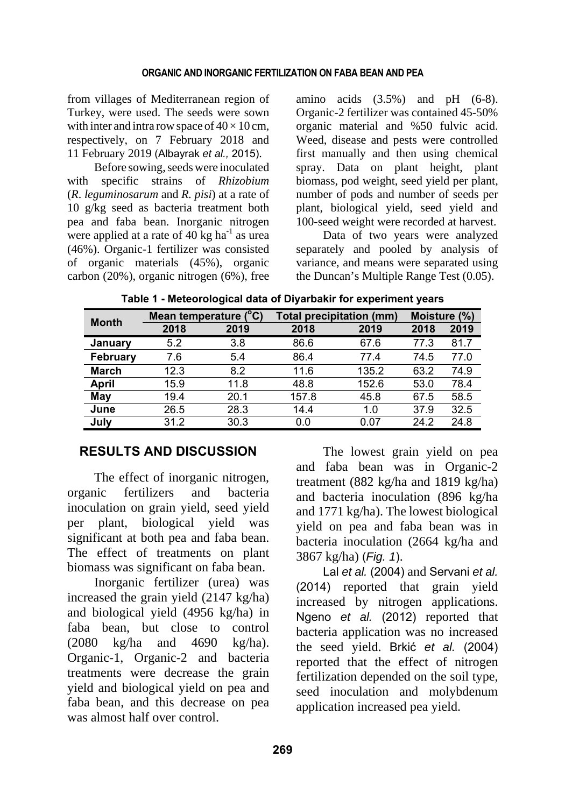from villages of Mediterranean region of Turkey, were used. The seeds were sown with inter and intra row space of  $40 \times 10$  cm, respectively, on 7 February 2018 and 11 February 2019 (Albayrak *et al.,* 2015).

Before sowing, seeds were inoculated with specific strains of *Rhizobium* (*R*. *leguminosarum* and *R. pisi*) at a rate of 10 g/kg seed as bacteria treatment both pea and faba bean. Inorganic nitrogen were applied at a rate of 40 kg  $ha^{-1}$  as urea (46%). Organic-1 fertilizer was consisted of organic materials (45%), organic carbon (20%), organic nitrogen (6%), free

amino acids  $(3.5\%)$  and pH  $(6-8)$ . Organic-2 fertilizer was contained 45-50% organic material and %50 fulvic acid. Weed, disease and pests were controlled first manually and then using chemical spray. Data on plant height, plant biomass, pod weight, seed yield per plant, number of pods and number of seeds per plant, biological yield, seed yield and 100-seed weight were recorded at harvest.

Data of two years were analyzed separately and pooled by analysis of variance, and means were separated using the Duncan's Multiple Range Test (0.05).

| Table 1 - Meteorological data of Diyarbakir for experiment years |  |  |
|------------------------------------------------------------------|--|--|
|                                                                  |  |  |

| <b>Month</b>    | Mean temperature ( | (°C) |       | Total precipitation (mm) | Moisture (%) |      |
|-----------------|--------------------|------|-------|--------------------------|--------------|------|
|                 | 2018               | 2019 | 2018  | 2019                     | 2018         | 2019 |
| January         | 5.2                | 3.8  | 86.6  | 67.6                     | 77.3         | 81.7 |
| <b>February</b> | 7.6                | 5.4  | 86.4  | 77.4                     | 74.5         | 77.0 |
| <b>March</b>    | 12.3               | 8.2  | 11.6  | 135.2                    | 63.2         | 74.9 |
| April           | 15.9               | 11.8 | 48.8  | 152.6                    | 53.0         | 78.4 |
| May             | 19.4               | 20.1 | 157.8 | 45.8                     | 67.5         | 58.5 |
| June            | 26.5               | 28.3 | 14.4  | 1.0                      | 37.9         | 32.5 |
| July            | 31.2               | 30.3 | 0.0   | 0.07                     | 24.2         | 24.8 |

### **RESULTS AND DISCUSSION**

The effect of inorganic nitrogen, organic fertilizers and bacteria inoculation on grain yield, seed yield per plant, biological yield was significant at both pea and faba bean. The effect of treatments on plant biomass was significant on faba bean.

Inorganic fertilizer (urea) was increased the grain yield (2147 kg/ha) and biological yield (4956 kg/ha) in faba bean, but close to control (2080 kg/ha and 4690 kg/ha). Organic-1, Organic-2 and bacteria treatments were decrease the grain yield and biological yield on pea and faba bean, and this decrease on pea was almost half over control.

The lowest grain yield on pea and faba bean was in Organic-2 treatment (882 kg/ha and 1819 kg/ha) and bacteria inoculation (896 kg/ha and 1771 kg/ha). The lowest biological yield on pea and faba bean was in bacteria inoculation (2664 kg/ha and 3867 kg/ha) (*Fig. 1*).

Lal *et al.* (2004) and Servani *et al.* (2014) reported that grain yield increased by nitrogen applications. Ngeno *et al.* (2012) reported that bacteria application was no increased the seed yield. Brkić *et al.* (2004) reported that the effect of nitrogen fertilization depended on the soil type, seed inoculation and molybdenum application increased pea yield.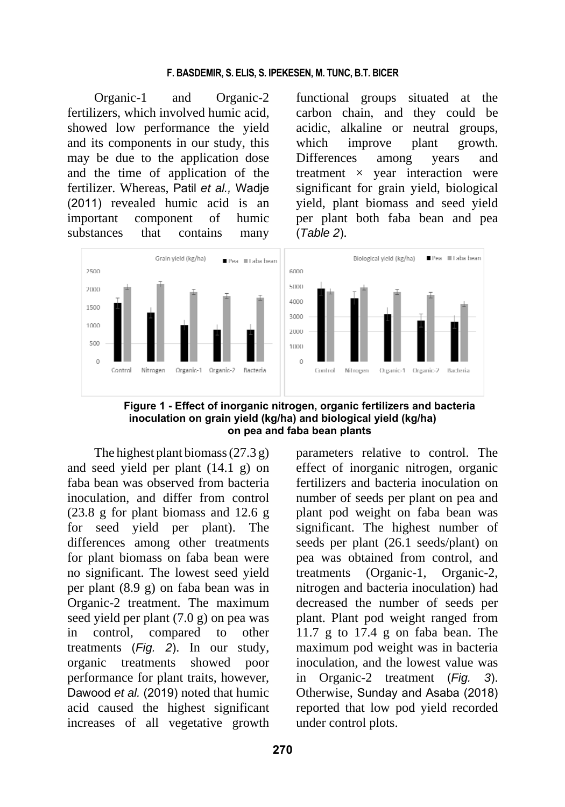Organic-1 and Organic-2 fertilizers, which involved humic acid, showed low performance the yield and its components in our study, this may be due to the application dose and the time of application of the fertilizer. Whereas, Patil *et al.,* Wadje (2011) revealed humic acid is an important component of humic substances that contains many

functional groups situated at the carbon chain, and they could be acidic, alkaline or neutral groups, which improve plant growth. Differences among years and treatment  $\times$  year interaction were significant for grain yield, biological yield, plant biomass and seed yield per plant both faba bean and pea (*Table 2*).



**Figure 1 - Effect of inorganic nitrogen, organic fertilizers and bacteria inoculation on grain yield (kg/ha) and biological yield (kg/ha) on pea and faba bean plants** 

The highest plant biomass(27.3 g) and seed yield per plant (14.1 g) on faba bean was observed from bacteria inoculation, and differ from control (23.8 g for plant biomass and 12.6 g for seed yield per plant). The differences among other treatments for plant biomass on faba bean were no significant. The lowest seed yield per plant (8.9 g) on faba bean was in Organic-2 treatment. The maximum seed yield per plant (7.0 g) on pea was in control, compared to other treatments (*Fig. 2*). In our study, organic treatments showed poor performance for plant traits, however, Dawood *et al.* (2019) noted that humic acid caused the highest significant increases of all vegetative growth

parameters relative to control. The effect of inorganic nitrogen, organic fertilizers and bacteria inoculation on number of seeds per plant on pea and plant pod weight on faba bean was significant. The highest number of seeds per plant (26.1 seeds/plant) on pea was obtained from control, and treatments (Organic-1, Organic-2, nitrogen and bacteria inoculation) had decreased the number of seeds per plant. Plant pod weight ranged from 11.7 g to 17.4 g on faba bean. The maximum pod weight was in bacteria inoculation, and the lowest value was in Organic-2 treatment (*Fig. 3*). Otherwise, Sunday and Asaba (2018) reported that low pod yield recorded under control plots.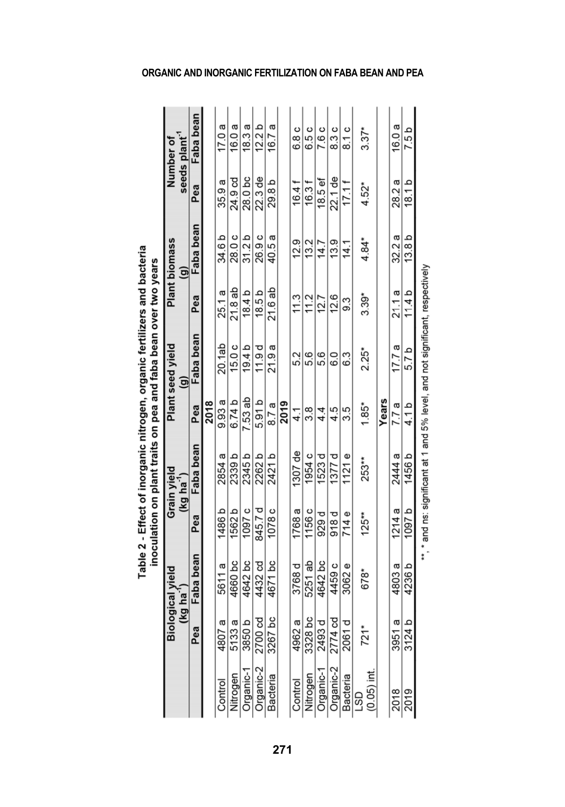Table 2 - Effect of inorganic nitrogen, organic fertilizers and bacteria

and ns: significant at 1 and 5% level, and not significant, respectively l,

### **ORGANIC AND INORGANIC FERTILIZATION ON FABA BEAN AND PEA**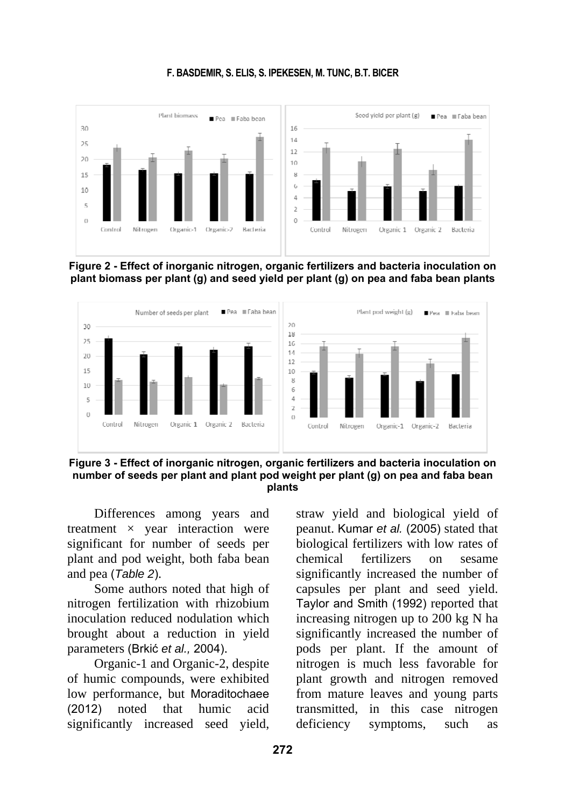

#### **F. BASDEMIR, S. ELIS, S. IPEKESEN, M. TUNC, B.T. BICER**





**Figure 3 - Effect of inorganic nitrogen, organic fertilizers and bacteria inoculation on number of seeds per plant and plant pod weight per plant (g) on pea and faba bean plants** 

Differences among years and treatment  $\times$  year interaction were significant for number of seeds per plant and pod weight, both faba bean and pea (*Table 2*).

Some authors noted that high of nitrogen fertilization with rhizobium inoculation reduced nodulation which brought about a reduction in yield parameters (Brkić *et al.,* 2004).

Organic-1 and Organic-2, despite of humic compounds, were exhibited low performance, but Moraditochaee (2012) noted that humic acid significantly increased seed yield,

straw yield and biological yield of peanut. Kumar *et al.* (2005) stated that biological fertilizers with low rates of chemical fertilizers on sesame significantly increased the number of capsules per plant and seed yield. Taylor and Smith (1992) reported that increasing nitrogen up to 200 kg N ha significantly increased the number of pods per plant. If the amount of nitrogen is much less favorable for plant growth and nitrogen removed from mature leaves and young parts transmitted, in this case nitrogen deficiency symptoms, such as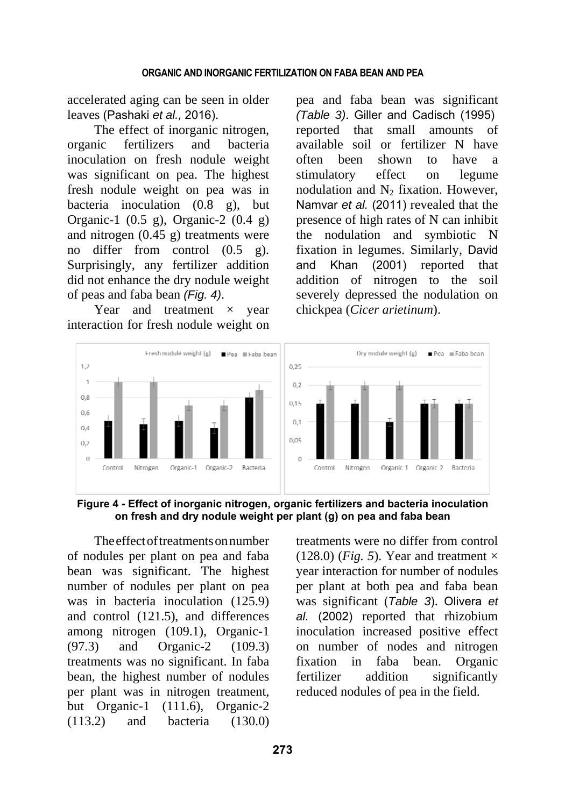accelerated aging can be seen in older leaves (Pashaki *et al.,* 2016).

The effect of inorganic nitrogen, organic fertilizers and bacteria inoculation on fresh nodule weight was significant on pea. The highest fresh nodule weight on pea was in bacteria inoculation (0.8 g), but Organic-1 (0.5 g), Organic-2 (0.4 g) and nitrogen (0.45 g) treatments were no differ from control (0.5 g). Surprisingly, any fertilizer addition did not enhance the dry nodule weight of peas and faba bean *(Fig. 4)*.

Year and treatment  $\times$  year interaction for fresh nodule weight on pea and faba bean was significant *(Table 3)*. Giller and Cadisch (1995) reported that small amounts of available soil or fertilizer N have often been shown to have a stimulatory effect on legume nodulation and  $N_2$  fixation. However, Namvar *et al.* (2011) revealed that the presence of high rates of N can inhibit the nodulation and symbiotic N fixation in legumes. Similarly, David and Khan (2001) reported that addition of nitrogen to the soil severely depressed the nodulation on chickpea (*Cicer arietinum*).



**Figure 4 - Effect of inorganic nitrogen, organic fertilizers and bacteria inoculation on fresh and dry nodule weight per plant (g) on pea and faba bean** 

The effect of treatments on number of nodules per plant on pea and faba bean was significant. The highest number of nodules per plant on pea was in bacteria inoculation (125.9) and control (121.5), and differences among nitrogen (109.1), Organic-1 (97.3) and Organic-2 (109.3) treatments was no significant. In faba bean, the highest number of nodules per plant was in nitrogen treatment, but Organic-1 (111.6), Organic-2 (113.2) and bacteria (130.0) treatments were no differ from control (128.0) (*Fig. 5*). Year and treatment  $\times$ year interaction for number of nodules per plant at both pea and faba bean was significant (*Table 3*). Olivera *et al.* (2002) reported that rhizobium inoculation increased positive effect on number of nodes and nitrogen fixation in faba bean. Organic fertilizer addition significantly reduced nodules of pea in the field.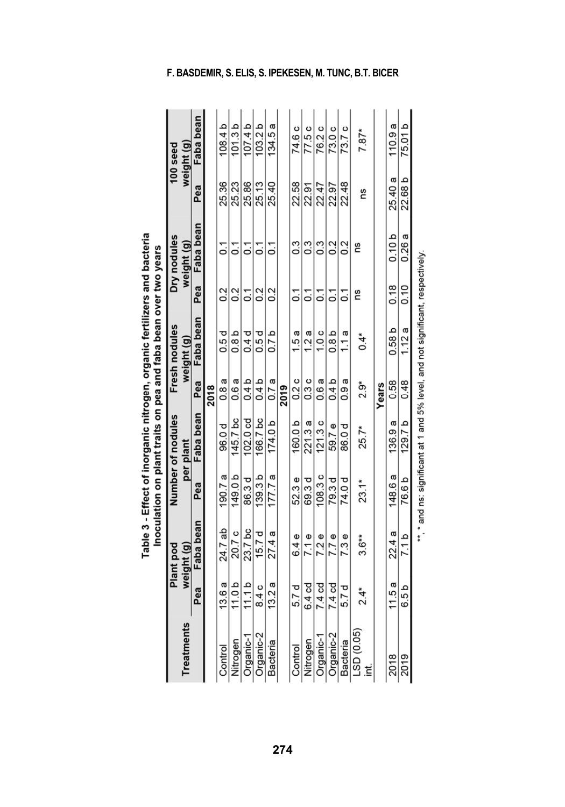|                   |                   |                                |                    |                                |               | Table 3 - Effect of inorganic nitrogen, organic fertilizers and bacteria<br>Inoculation on plant traits on pea and faba bean over two years |                |                           |         |                        |
|-------------------|-------------------|--------------------------------|--------------------|--------------------------------|---------------|---------------------------------------------------------------------------------------------------------------------------------------------|----------------|---------------------------|---------|------------------------|
| <b>Treatments</b> |                   | weight (g)<br><b>Plant</b> pod |                    | Number of nodules<br>per plant |               | Fresh nodules<br>weight (g)                                                                                                                 |                | Dry nodules<br>weight (g) |         | weight (g)<br>100 seed |
|                   | Pea               | Faba bean                      | Pea                | Faba bean                      | Pea           | Faba bean                                                                                                                                   | Pea            | Faba bean                 | Pea     | Faba bean              |
|                   |                   |                                |                    |                                | 2018          |                                                                                                                                             |                |                           |         |                        |
| Control           | 13.6 a            | 24.7 ab                        | 190.7a             | 96.0 d                         | 0.8 a         | 0.5 d                                                                                                                                       | 20             | ្ដ                        | 25.36   | 108.4 b                |
| Nitrogen          | 11.0 <sub>b</sub> | 20.7 c                         | 149.0b             | 145.7 bc                       | 0.6 a         | 0.8 <sub>b</sub>                                                                                                                            | 20             | ွ                         | 25.23   | 101.3 <sub>b</sub>     |
| Organic-1         | 11.1 b            | 23.7 bc                        | 86.3 d             | 102.0 cd                       | 0.4 b         | 0.4d                                                                                                                                        | ္ပ             | ្ត                        | 25.86   | 107.4 <sub>b</sub>     |
| Organic-2         | 8.4c              | 15. $7d$                       | 139.3 <sub>b</sub> | 166.7 bc                       | 0.4 b         | 0.5 d                                                                                                                                       | 0.2            | ្ត                        | 25.13   | 103.2 <sub>b</sub>     |
| Bacteria          | 13.2 a            | 27.4 a                         | 177.7 a            | 174.0 <sub>b</sub>             | 0.7a          | 0.7 <sub>b</sub>                                                                                                                            | 20             | Σ,                        | 25.40   | 134.5 a                |
|                   |                   |                                |                    |                                | 2019          |                                                                                                                                             |                |                           |         |                        |
| Control           | 5.7 d             | 6.4e                           | 52.3e              | 160.0 b                        | 0.2 c         | 1.5 a                                                                                                                                       | ္ပ             | ი<br>თ                    | 22.58   | 74.6 c                 |
| Nitrogen          | 6.4 cd            | 7.1e                           | 69.3 d             | 221.3 a                        | 0.3 c         | 1.2a                                                                                                                                        | $\overline{c}$ | ი<br>0.3                  | 22.91   | 77.5c                  |
| Organic-1         | 7.4 <sub>cd</sub> | 7.2e                           | 108.3 c            | 121.3c                         | 0.6 a         | 1.0c                                                                                                                                        | ္င             | ი<br>თ                    | 22.47   | 76.2 c                 |
| Organic-2         | 7.4 <sub>cd</sub> | 7.7 e                          | 79.3 d             | 59.7e                          | 0.4 b         | 0.8b                                                                                                                                        | 5              | $\sim$                    | 22.97   | 73.0c                  |
| Bacteria          | 5.7 d             | 7.3 e                          | 74.0 d             | 86.0 d                         | 0.9 a         | 1.1 a                                                                                                                                       | 5              | $\sim$                    | 22.48   | 73.7c                  |
| LSD (0.05)<br>ξ   | $2.4*$            | $3.6**$                        | $23.1*$            | 25.7*                          | $\frac{3}{2}$ | $0.4^*$                                                                                                                                     | Ωů             | ςù                        | SU      | $7.87*$                |
|                   |                   |                                |                    |                                | Years         |                                                                                                                                             |                |                           |         |                        |
| 2018              | 11.5 a            | 22.4 a                         | 148.6 a            | 136.9a                         | 0.58          | 0.58 <sub>b</sub>                                                                                                                           | 0.18           | 0.10 <sub>b</sub>         | 25.40 a | 110.9a                 |
| 2019              | 6.5 b             | d $1.1$                        | 76.6 b             | 129.7 <sub>b</sub>             | 0.48          | 1.12a                                                                                                                                       | 0.10           | 0.26a                     | 22.68 b | 75.01 b                |
|                   |                   |                                |                    |                                |               | ", " and ns: significant at 1 and 5% level, and not significant, respectively                                                               |                |                           |         |                        |

### **274**

### **F. BASDEMIR, S. ELIS, S. IPEKESEN, M. TUNC, B.T. BICER**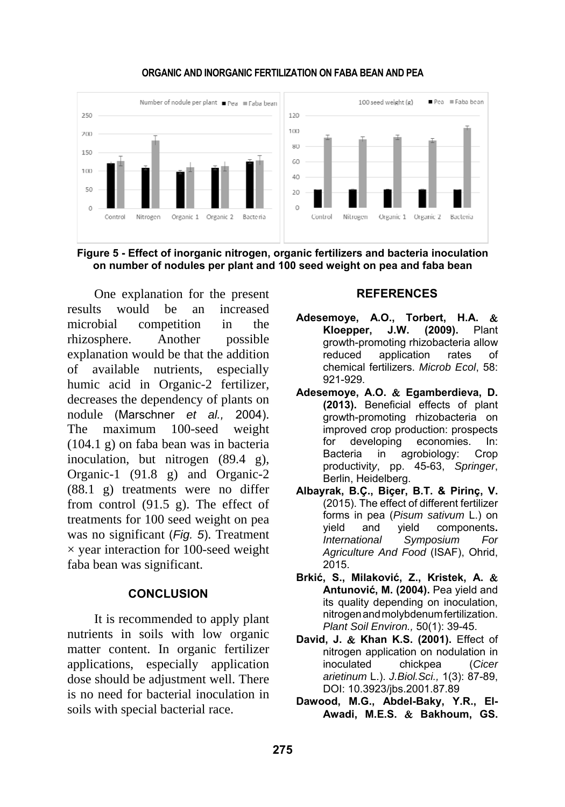

**Figure 5 - Effect of inorganic nitrogen, organic fertilizers and bacteria inoculation on number of nodules per plant and 100 seed weight on pea and faba bean** 

One explanation for the present results would be an increased microbial competition in the rhizosphere. Another possible explanation would be that the addition of available nutrients, especially humic acid in Organic-2 fertilizer, decreases the dependency of plants on nodule (Marschner *et al.,* 2004). The maximum 100-seed weight (104.1 g) on faba bean was in bacteria inoculation, but nitrogen (89.4 g), Organic-1 (91.8 g) and Organic-2 (88.1 g) treatments were no differ from control (91.5 g). The effect of treatments for 100 seed weight on pea was no significant (*Fig. 5*). Treatment  $\times$  year interaction for 100-seed weight faba bean was significant.

#### **CONCLUSION**

It is recommended to apply plant nutrients in soils with low organic matter content. In organic fertilizer applications, especially application dose should be adjustment well. There is no need for bacterial inoculation in soils with special bacterial race.

#### **REFERENCES**

- **Adesemoye, A.O., Torbert, H.A. Kloepper, J.W. (2009).** Plant growth-promoting rhizobacteria allow reduced application rates of chemical fertilizers. *Microb Ecol*, 58: 921-929.
- **Adesemoye, A.O. Egamberdieva, D. (2013).** Beneficial effects of plant growth-promoting rhizobacteria on improved crop production: prospects for developing economies. In: Bacteria in agrobiology: Crop productivit*y*, pp. 45-63, *Springer*, Berlin, Heidelberg.
- **Albayrak, B.Ç., Biçer, B.T. & Pirinç, V.** (2015). The effect of different fertilizer forms in pea (*Pisum sativum* L.) on yield and yield components**.** *International Symposium For Agriculture And Food* (ISAF), Ohrid, 2015.
- **Brkić, S., Milaković, Z., Kristek, A. Antunović, M. (2004).** Pea yield and its quality depending on inoculation, nitrogenandmolybdenumfertilization. *Plant Soil Environ.,* 50(1): 39-45.
- David, J. & Khan K.S. (2001). Effect of nitrogen application on nodulation in inoculated chickpea (*Cicer arietinum* L.). *J.Biol.Sci.,* 1(3): 87-89, DOI: 10.3923/jbs.2001.87.89
- **Dawood, M.G., Abdel-Baky, Y.R., El-**Awadi, M.E.S. & Bakhoum, GS.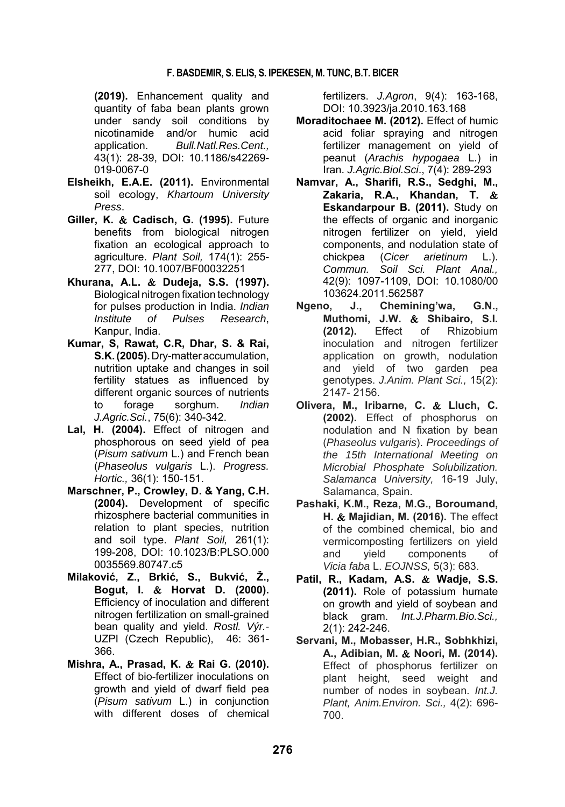**(2019).** Enhancement quality and quantity of faba bean plants grown under sandy soil conditions by nicotinamide and/or humic acid application. *Bull.Natl.Res.Cent.,* 43(1): 28-39, DOI: 10.1186/s42269- 019-0067-0

- **Elsheikh, E.A.E. (2011).** Environmental soil ecology, *Khartoum University Press*.
- **Giller, K. Cadisch, G. (1995).** Future benefits from biological nitrogen fixation an ecological approach to agriculture. *Plant Soil,* 174(1): 255- 277, DOI: 10.1007/BF00032251
- **Khurana, A.L. Dudeja, S.S. (1997).** Biological nitrogen fixation technology for pulses production in India. *Indian Institute of Pulses Research*, Kanpur, India.
- **Kumar, S, Rawat, C.R, Dhar, S. & Rai, S.K.(2005).**Dry-matteraccumulation, nutrition uptake and changes in soil fertility statues as influenced by different organic sources of nutrients to forage sorghum. *Indian J.Agric.Sci.*, 75(6): 340-342.
- **Lal, H. (2004).** Effect of nitrogen and phosphorous on seed yield of pea (*Pisum sativum* L.) and French bean (*Phaseolus vulgaris* L.). *Progress. Hortic.,* 36(1): 150-151.
- **Marschner, P., Crowley, D. & Yang, C.H. (2004).** Development of specific rhizosphere bacterial communities in relation to plant species, nutrition and soil type. *Plant Soil,* 261(1): 199-208, DOI: 10.1023/B:PLSO.000 0035569.80747.c5
- **Milaković, Z., Brkić, S., Bukvić, Ž., Bogut, I. Horvat D. (2000).** Efficiency of inoculation and different nitrogen fertilization on small-grained bean quality and yield. *Rostl. Výr.-*  UZPI (Czech Republic), 46: 361- 366.
- **Mishra, A., Prasad, K. Rai G. (2010).** Effect of bio-fertilizer inoculations on growth and yield of dwarf field pea (*Pisum sativum* L.) in conjunction with different doses of chemical

fertilizers. *J.Agron*, 9(4): 163-168, DOI: 10.3923/ja.2010.163.168

- **Moraditochaee M. (2012).** Effect of humic acid foliar spraying and nitrogen fertilizer management on yield of peanut (*Arachis hypogaea* L.) in Iran. *J.Agric.Biol.Sci*., 7(4): 289-293
- **Namvar, A., Sharifi, R.S., Sedghi, M., Zakaria, R.A., Khandan, T. Eskandarpour B. (2011).** Study on the effects of organic and inorganic nitrogen fertilizer on yield, yield components, and nodulation state of chickpea (*Cicer arietinum* L.). *Commun. Soil Sci. Plant Anal.,* 42(9): 1097-1109, DOI: 10.1080/00 103624.2011.562587
- **Ngeno, J., Chemining'wa, G.N., Muthomi, J.W. Shibairo, S.I. (2012).** Effect of Rhizobium inoculation and nitrogen fertilizer application on growth, nodulation and yield of two garden pea genotypes. *J.Anim. Plant Sci.,* 15(2): 2147- 2156.
- **Olivera, M., Iribarne, C. Lluch, C. (2002).** Effect of phosphorus on nodulation and N fixation by bean (*Phaseolus vulgaris*). *Proceedings of the 15th International Meeting on Microbial Phosphate Solubilization. Salamanca University,* 16-19 July, Salamanca, Spain.
- **Pashaki, K.M., Reza, M.G., Boroumand, H. & Majidian, M. (2016).** The effect of the combined chemical, bio and vermicomposting fertilizers on yield and yield components of *Vicia faba* L. *EOJNSS,* 5(3): 683.
- **Patil, R., Kadam, A.S. Wadje, S.S. (2011).** Role of potassium humate on growth and yield of soybean and black gram. *Int.J.Pharm.Bio.Sci.,* 2(1): 242-246.
- **Servani, M., Mobasser, H.R., Sobhkhizi, A., Adibian, M. Noori, M. (2014).** Effect of phosphorus fertilizer on plant height, seed weight and number of nodes in soybean. *Int.J. Plant, Anim.Environ. Sci.,* 4(2): 696- 700.